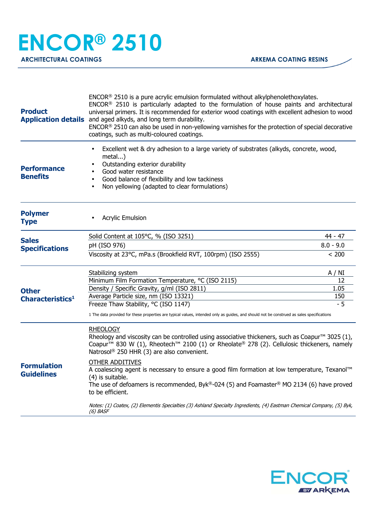| <b>Product</b>                          | $ENCOR®$ 2510 is a pure acrylic emulsion formulated without alkylphenolethoxylates.<br>ENCOR <sup>®</sup> 2510 is particularly adapted to the formulation of house paints and architectural<br>universal primers. It is recommended for exterior wood coatings with excellent adhesion to wood<br><b>Application details</b> and aged alkyds, and long term durability.<br>ENCOR® 2510 can also be used in non-yellowing varnishes for the protection of special decorative<br>coatings, such as multi-coloured coatings.                                                    |             |
|-----------------------------------------|------------------------------------------------------------------------------------------------------------------------------------------------------------------------------------------------------------------------------------------------------------------------------------------------------------------------------------------------------------------------------------------------------------------------------------------------------------------------------------------------------------------------------------------------------------------------------|-------------|
| <b>Performance</b><br><b>Benefits</b>   | Excellent wet & dry adhesion to a large variety of substrates (alkyds, concrete, wood,<br>metal)<br>Outstanding exterior durability<br>Good water resistance<br>Good balance of flexibility and low tackiness<br>$\bullet$<br>Non yellowing (adapted to clear formulations)<br>$\bullet$                                                                                                                                                                                                                                                                                     |             |
| <b>Polymer</b><br><b>Type</b>           | <b>Acrylic Emulsion</b>                                                                                                                                                                                                                                                                                                                                                                                                                                                                                                                                                      |             |
|                                         | Solid Content at 105°C, % (ISO 3251)                                                                                                                                                                                                                                                                                                                                                                                                                                                                                                                                         | 44 - 47     |
| <b>Sales</b><br><b>Specifications</b>   | pH (ISO 976)                                                                                                                                                                                                                                                                                                                                                                                                                                                                                                                                                                 | $8.0 - 9.0$ |
|                                         | Viscosity at 23°C, mPa.s (Brookfield RVT, 100rpm) (ISO 2555)                                                                                                                                                                                                                                                                                                                                                                                                                                                                                                                 | < 200       |
|                                         | Stabilizing system                                                                                                                                                                                                                                                                                                                                                                                                                                                                                                                                                           | A / NI      |
|                                         | Minimum Film Formation Temperature, °C (ISO 2115)                                                                                                                                                                                                                                                                                                                                                                                                                                                                                                                            | 12          |
| <b>Other</b>                            | Density / Specific Gravity, g/ml (ISO 2811)                                                                                                                                                                                                                                                                                                                                                                                                                                                                                                                                  | 1.05        |
| Characteristics <sup>1</sup>            | Average Particle size, nm (ISO 13321)                                                                                                                                                                                                                                                                                                                                                                                                                                                                                                                                        | 150         |
|                                         | Freeze Thaw Stability, °C (ISO 1147)<br>1 The data provided for these properties are typical values, intended only as guides, and should not be construed as sales specifications                                                                                                                                                                                                                                                                                                                                                                                            | $-5$        |
| <b>Formulation</b><br><b>Guidelines</b> | <b>RHEOLOGY</b><br>Rheology and viscosity can be controlled using associative thickeners, such as Coapur <sup>™</sup> 3025 (1),<br>Coapur <sup>™</sup> 830 W (1), Rheotech <sup>™</sup> 2100 (1) or Rheolate <sup>®</sup> 278 (2). Cellulosic thickeners, namely<br>Natrosol® 250 HHR (3) are also convenient.<br><b>OTHER ADDITIVES</b><br>A coalescing agent is necessary to ensure a good film formation at low temperature, Texanol™<br>(4) is suitable.<br>The use of defoamers is recommended, Byk®-024 (5) and Foamaster® MO 2134 (6) have proved<br>to be efficient. |             |
|                                         | Notes: (1) Coatex, (2) Elementis Specialties (3) Ashland Specialty Ingredients, (4) Eastman Chemical Company, (5) Byk,<br>$(6)$ BASF                                                                                                                                                                                                                                                                                                                                                                                                                                         |             |